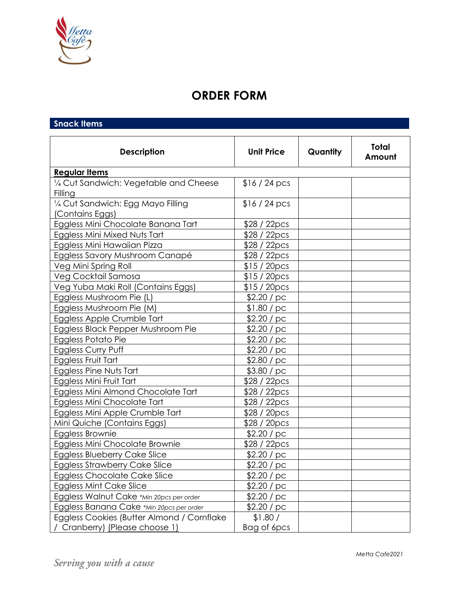

## **ORDER FORM**

**Snack Items**

| <b>Description</b>                         | <b>Unit Price</b> | Quantity | <b>Total</b><br>Amount |
|--------------------------------------------|-------------------|----------|------------------------|
| <b>Regular Items</b>                       |                   |          |                        |
| 1/4 Cut Sandwich: Vegetable and Cheese     | $$16/24$ pcs      |          |                        |
| Filling                                    |                   |          |                        |
| 1/4 Cut Sandwich: Egg Mayo Filling         | $$16/24$ pcs      |          |                        |
| (Contains Eggs)                            |                   |          |                        |
| Eggless Mini Chocolate Banana Tart         | \$28/22pcs        |          |                        |
| Eggless Mini Mixed Nuts Tart               | \$28 / 22pcs      |          |                        |
| Eggless Mini Hawaiian Pizza                | \$28 / 22pcs      |          |                        |
| Eggless Savory Mushroom Canapé             | \$28 / 22pcs      |          |                        |
| Veg Mini Spring Roll                       | \$15/20pcs        |          |                        |
| Veg Cocktail Samosa                        | \$15/20pcs        |          |                        |
| Veg Yuba Maki Roll (Contains Eggs)         | \$15/20pcs        |          |                        |
| Eggless Mushroom Pie (L)                   | \$2.20 / pc       |          |                        |
| Eggless Mushroom Pie (M)                   | $$1.80$ / pc      |          |                        |
| Eggless Apple Crumble Tart                 | \$2.20 / pc       |          |                        |
| Eggless Black Pepper Mushroom Pie          | \$2.20 / pc       |          |                        |
| Eggless Potato Pie                         | \$2.20 / pc       |          |                        |
| Eggless Curry Puff                         | \$2.20 / pc       |          |                        |
| Eggless Fruit Tart                         | \$2.80 / pc       |          |                        |
| Eggless Pine Nuts Tart                     | \$3.80 / pc       |          |                        |
| Eggless Mini Fruit Tart                    | \$28 / 22pcs      |          |                        |
| Eggless Mini Almond Chocolate Tart         | \$28 / 22pcs      |          |                        |
| Eggless Mini Chocolate Tart                | \$28 / 22pcs      |          |                        |
| Eggless Mini Apple Crumble Tart            | \$28 / 20pcs      |          |                        |
| Mini Quiche (Contains Eggs)                | \$28/20pcs        |          |                        |
| Eggless Brownie                            | \$2.20 / pc       |          |                        |
| Eggless Mini Chocolate Brownie             | \$28 / 22pcs      |          |                        |
| Eggless Blueberry Cake Slice               | \$2.20 / pc       |          |                        |
| <b>Eggless Strawberry Cake Slice</b>       | \$2.20 / pc       |          |                        |
| Eggless Chocolate Cake Slice               | \$2.20/<br>pc     |          |                        |
| <b>Eggless Mint Cake Slice</b>             | \$2.20 / pc       |          |                        |
| Eggless Walnut Cake *Min 20pcs per order   | \$2.20 / pc       |          |                        |
| Eggless Banana Cake *Min 20pcs per order   | \$2.20 / pc       |          |                        |
| Eggless Cookies (Butter Almond / Cornflake | \$1.80/           |          |                        |
| Cranberry) (Please choose 1)               | Bag of 6pcs       |          |                        |